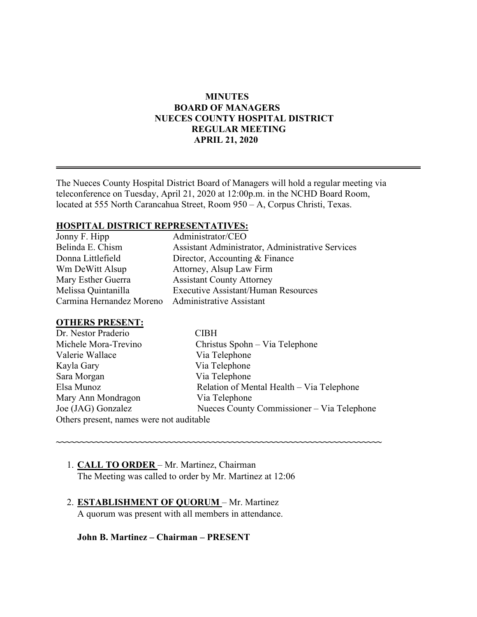#### **MINUTES BOARD OF MANAGERS NUECES COUNTY HOSPITAL DISTRICT REGULAR MEETING APRIL 21, 2020**

The Nueces County Hospital District Board of Managers will hold a regular meeting via teleconference on Tuesday, April 21, 2020 at 12:00p.m. in the NCHD Board Room, located at 555 North Carancahua Street, Room 950 – A, Corpus Christi, Texas.

#### **HOSPITAL DISTRICT REPRESENTATIVES:**

| Jonny F. Hipp            | Administrator/CEO                                |
|--------------------------|--------------------------------------------------|
| Belinda E. Chism         | Assistant Administrator, Administrative Services |
| Donna Littlefield        | Director, Accounting & Finance                   |
| Wm DeWitt Alsup          | Attorney, Alsup Law Firm                         |
| Mary Esther Guerra       | <b>Assistant County Attorney</b>                 |
| Melissa Quintanilla      | <b>Executive Assistant/Human Resources</b>       |
| Carmina Hernandez Moreno | <b>Administrative Assistant</b>                  |

#### **OTHERS PRESENT:**

| Dr. Nestor Praderio                      | CIBH                                       |
|------------------------------------------|--------------------------------------------|
| Michele Mora-Trevino                     | Christus Spohn – Via Telephone             |
| Valerie Wallace                          | Via Telephone                              |
| Kayla Gary                               | Via Telephone                              |
| Sara Morgan                              | Via Telephone                              |
| Elsa Munoz                               | Relation of Mental Health – Via Telephone  |
| Mary Ann Mondragon                       | Via Telephone                              |
| Joe (JAG) Gonzalez                       | Nueces County Commissioner - Via Telephone |
| Others present, names were not auditable |                                            |

**~~~~~~~~~~~~~~~~~~~~~~~~~~~~~~~~~~~~~~~~~~~~~~~~~~~~~~~~~~~~~~~~~~~**

- 1. **CALL TO ORDER**  Mr. Martinez, Chairman The Meeting was called to order by Mr. Martinez at 12:06
- 2. **ESTABLISHMENT OF QUORUM**  Mr. Martinez A quorum was present with all members in attendance.

**John B. Martinez – Chairman – PRESENT**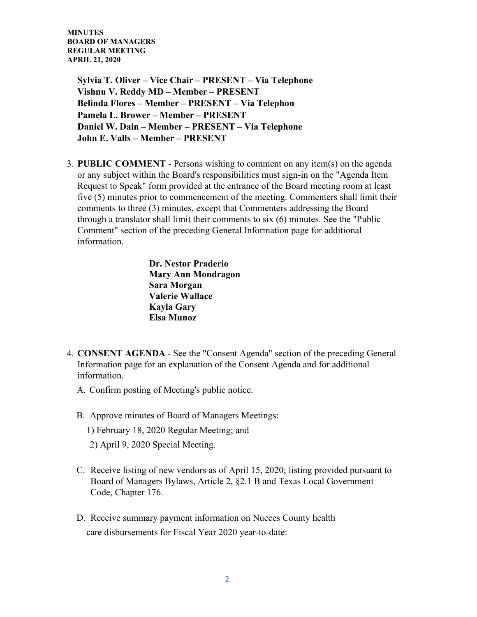> **Sylvia T. Oliver – Vice Chair – PRESENT – Via Telephone Vishnu V. Reddy MD – Member – PRESENT Belinda Flores – Member – PRESENT – Via Telephon Pamela L. Brower – Member – PRESENT Daniel W. Dain – Member – PRESENT – Via Telephone John E. Valls – Member – PRESENT**

3. **PUBLIC COMMENT** - Persons wishing to comment on any item(s) on the agenda or any subject within the Board's responsibilities must sign-in on the "Agenda Item Request to Speak" form provided at the entrance of the Board meeting room at least five (5) minutes prior to commencement of the meeting. Commenters shall limit their comments to three (3) minutes, except that Commenters addressing the Board through a translator shall limit their comments to six (6) minutes. See the "Public Comment" section of the preceding General Information page for additional information.

> **Dr. Nestor Praderio Mary Ann Mondragon Sara Morgan Valerie Wallace Kayla Gary Elsa Munoz**

- 4. **CONSENT AGENDA** See the "Consent Agenda" section of the preceding General Information page for an explanation of the Consent Agenda and for additional information.
	- A. Confirm posting of Meeting's public notice.
	- B. Approve minutes of Board of Managers Meetings:
		- 1) February 18, 2020 Regular Meeting; and
		- 2) April 9, 2020 Special Meeting.
	- C. Receive listing of new vendors as of April 15, 2020; listing provided pursuant to Board of Managers Bylaws, Article 2, §2.1 B and Texas Local Government Code, Chapter 176.
	- D. Receive summary payment information on Nueces County health care disbursements for Fiscal Year 2020 year-to-date: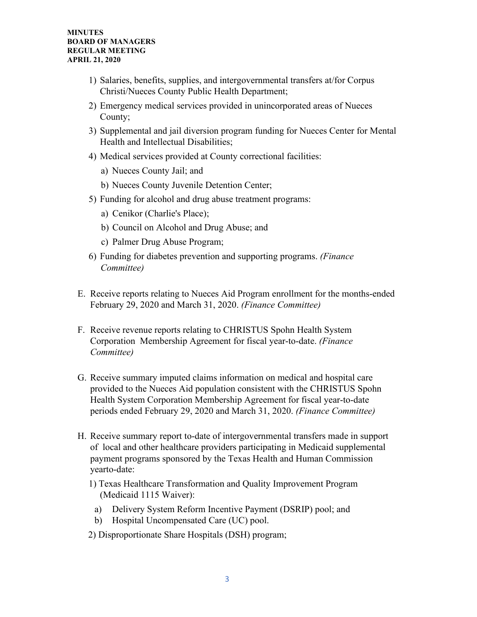- 1) Salaries, benefits, supplies, and intergovernmental transfers at/for Corpus Christi/Nueces County Public Health Department;
- 2) Emergency medical services provided in unincorporated areas of Nueces County;
- 3) Supplemental and jail diversion program funding for Nueces Center for Mental Health and Intellectual Disabilities;
- 4) Medical services provided at County correctional facilities:
	- a) Nueces County Jail; and
	- b) Nueces County Juvenile Detention Center;
- 5) Funding for alcohol and drug abuse treatment programs:
	- a) Cenikor (Charlie's Place);
	- b) Council on Alcohol and Drug Abuse; and
	- c) Palmer Drug Abuse Program;
- 6) Funding for diabetes prevention and supporting programs. *(Finance Committee)*
- E. Receive reports relating to Nueces Aid Program enrollment for the months-ended February 29, 2020 and March 31, 2020. *(Finance Committee)*
- F. Receive revenue reports relating to CHRISTUS Spohn Health System Corporation Membership Agreement for fiscal year-to-date. *(Finance Committee)*
- G. Receive summary imputed claims information on medical and hospital care provided to the Nueces Aid population consistent with the CHRISTUS Spohn Health System Corporation Membership Agreement for fiscal year-to-date periods ended February 29, 2020 and March 31, 2020. *(Finance Committee)*
- H. Receive summary report to-date of intergovernmental transfers made in support of local and other healthcare providers participating in Medicaid supplemental payment programs sponsored by the Texas Health and Human Commission yearto-date:
	- 1) Texas Healthcare Transformation and Quality Improvement Program (Medicaid 1115 Waiver):
		- a) Delivery System Reform Incentive Payment (DSRIP) pool; and
		- b) Hospital Uncompensated Care (UC) pool.
	- 2) Disproportionate Share Hospitals (DSH) program;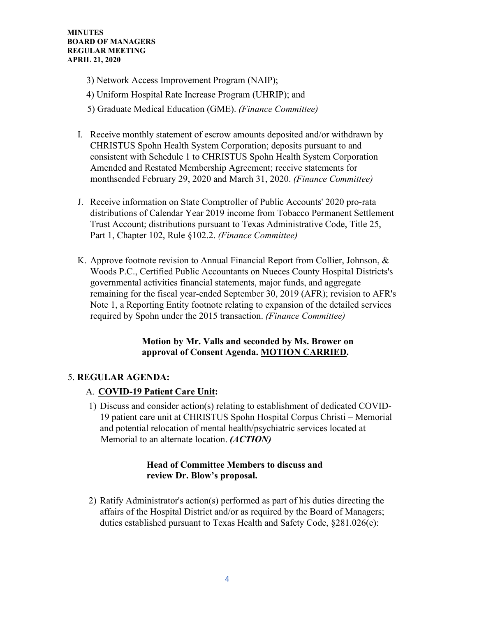- 3) Network Access Improvement Program (NAIP);
- 4) Uniform Hospital Rate Increase Program (UHRIP); and
- 5) Graduate Medical Education (GME). *(Finance Committee)*
- I. Receive monthly statement of escrow amounts deposited and/or withdrawn by CHRISTUS Spohn Health System Corporation; deposits pursuant to and consistent with Schedule 1 to CHRISTUS Spohn Health System Corporation Amended and Restated Membership Agreement; receive statements for monthsended February 29, 2020 and March 31, 2020. *(Finance Committee)*
- J. Receive information on State Comptroller of Public Accounts' 2020 pro-rata distributions of Calendar Year 2019 income from Tobacco Permanent Settlement Trust Account; distributions pursuant to Texas Administrative Code, Title 25, Part 1, Chapter 102, Rule §102.2. *(Finance Committee)*
- K. Approve footnote revision to Annual Financial Report from Collier, Johnson, & Woods P.C., Certified Public Accountants on Nueces County Hospital Districts's governmental activities financial statements, major funds, and aggregate remaining for the fiscal year-ended September 30, 2019 (AFR); revision to AFR's Note 1, a Reporting Entity footnote relating to expansion of the detailed services required by Spohn under the 2015 transaction. *(Finance Committee)*

# **Motion by Mr. Valls and seconded by Ms. Brower on approval of Consent Agenda. MOTION CARRIED.**

# 5. **REGULAR AGENDA:**

- A. **COVID-19 Patient Care Unit:**
- 1) Discuss and consider action(s) relating to establishment of dedicated COVID-19 patient care unit at CHRISTUS Spohn Hospital Corpus Christi – Memorial and potential relocation of mental health/psychiatric services located at Memorial to an alternate location. *(ACTION)*

## **Head of Committee Members to discuss and review Dr. Blow's proposal.**

2) Ratify Administrator's action(s) performed as part of his duties directing the affairs of the Hospital District and/or as required by the Board of Managers; duties established pursuant to Texas Health and Safety Code, §281.026(e):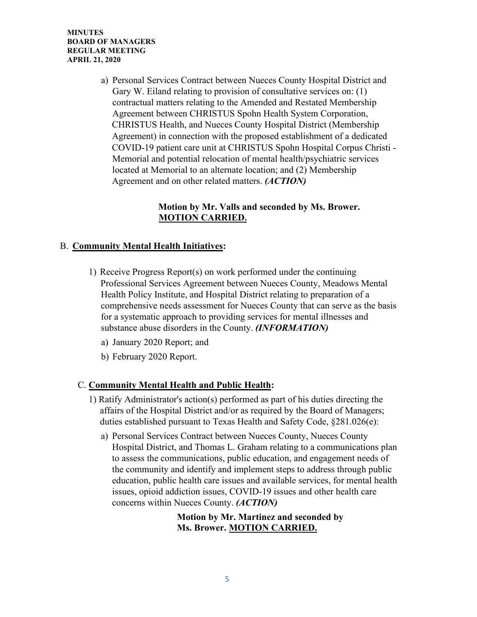a) Personal Services Contract between Nueces County Hospital District and Gary W. Eiland relating to provision of consultative services on: (1) contractual matters relating to the Amended and Restated Membership Agreement between CHRISTUS Spohn Health System Corporation, CHRISTUS Health, and Nueces County Hospital District (Membership Agreement) in connection with the proposed establishment of a dedicated COVID-19 patient care unit at CHRISTUS Spohn Hospital Corpus Christi - Memorial and potential relocation of mental health/psychiatric services located at Memorial to an alternate location; and (2) Membership Agreement and on other related matters. *(ACTION)* 

# **Motion by Mr. Valls and seconded by Ms. Brower. MOTION CARRIED.**

# B. **Community Mental Health Initiatives:**

- 1) Receive Progress Report(s) on work performed under the continuing Professional Services Agreement between Nueces County, Meadows Mental Health Policy Institute, and Hospital District relating to preparation of a comprehensive needs assessment for Nueces County that can serve as the basis for a systematic approach to providing services for mental illnesses and substance abuse disorders in the County. *(INFORMATION)*
	- a) January 2020 Report; and
	- b) February 2020 Report.

## C. **Community Mental Health and Public Health:**

- 1) Ratify Administrator's action(s) performed as part of his duties directing the affairs of the Hospital District and/or as required by the Board of Managers; duties established pursuant to Texas Health and Safety Code, §281.026(e):
	- a) Personal Services Contract between Nueces County, Nueces County Hospital District, and Thomas L. Graham relating to a communications plan to assess the communications, public education, and engagement needs of the community and identify and implement steps to address through public education, public health care issues and available services, for mental health issues, opioid addiction issues, COVID-19 issues and other health care concerns within Nueces County. *(ACTION)*

 **Motion by Mr. Martinez and seconded by Ms. Brower. MOTION CARRIED.**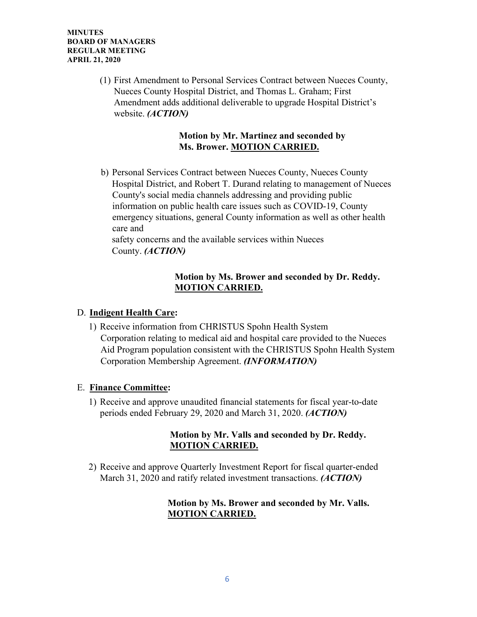> (1) First Amendment to Personal Services Contract between Nueces County, Nueces County Hospital District, and Thomas L. Graham; First Amendment adds additional deliverable to upgrade Hospital District's website. *(ACTION)*

## **Motion by Mr. Martinez and seconded by Ms. Brower. MOTION CARRIED.**

b) Personal Services Contract between Nueces County, Nueces County Hospital District, and Robert T. Durand relating to management of Nueces County's social media channels addressing and providing public information on public health care issues such as COVID-19, County emergency situations, general County information as well as other health care and

safety concerns and the available services within Nueces County. *(ACTION)* 

## **Motion by Ms. Brower and seconded by Dr. Reddy. MOTION CARRIED.**

## D. **Indigent Health Care:**

1) Receive information from CHRISTUS Spohn Health System Corporation relating to medical aid and hospital care provided to the Nueces Aid Program population consistent with the CHRISTUS Spohn Health System Corporation Membership Agreement. *(INFORMATION)* 

## E. **Finance Committee:**

1) Receive and approve unaudited financial statements for fiscal year-to-date periods ended February 29, 2020 and March 31, 2020. *(ACTION)* 

# **Motion by Mr. Valls and seconded by Dr. Reddy. MOTION CARRIED.**

2) Receive and approve Quarterly Investment Report for fiscal quarter-ended March 31, 2020 and ratify related investment transactions. *(ACTION)* 

# **Motion by Ms. Brower and seconded by Mr. Valls. MOTION CARRIED.**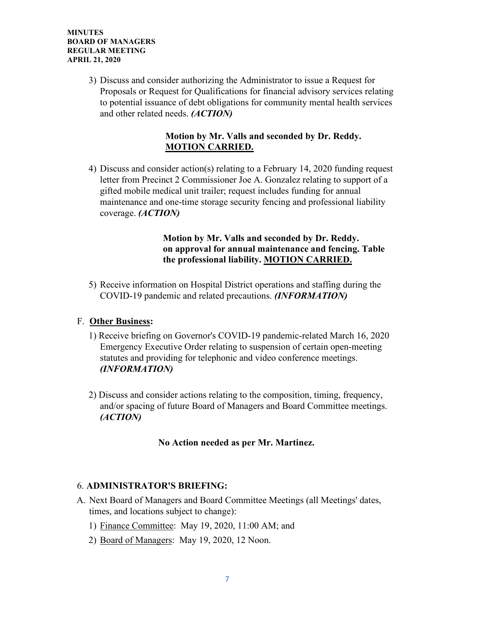3) Discuss and consider authorizing the Administrator to issue a Request for Proposals or Request for Qualifications for financial advisory services relating to potential issuance of debt obligations for community mental health services and other related needs. *(ACTION)*

## **Motion by Mr. Valls and seconded by Dr. Reddy. MOTION CARRIED.**

4) Discuss and consider action(s) relating to a February 14, 2020 funding request letter from Precinct 2 Commissioner Joe A. Gonzalez relating to support of a gifted mobile medical unit trailer; request includes funding for annual maintenance and one-time storage security fencing and professional liability coverage. *(ACTION)*

#### **Motion by Mr. Valls and seconded by Dr. Reddy. on approval for annual maintenance and fencing. Table the professional liability. MOTION CARRIED.**

5) Receive information on Hospital District operations and staffing during the COVID-19 pandemic and related precautions. *(INFORMATION)*

## F. **Other Business:**

- 1) Receive briefing on Governor's COVID-19 pandemic-related March 16, 2020 Emergency Executive Order relating to suspension of certain open-meeting statutes and providing for telephonic and video conference meetings. *(INFORMATION)*
- 2) Discuss and consider actions relating to the composition, timing, frequency, and/or spacing of future Board of Managers and Board Committee meetings. *(ACTION)*

## **No Action needed as per Mr. Martinez.**

## 6. **ADMINISTRATOR'S BRIEFING:**

- A. Next Board of Managers and Board Committee Meetings (all Meetings' dates, times, and locations subject to change):
	- 1) Finance Committee: May 19, 2020, 11:00 AM; and
	- 2) Board of Managers: May 19, 2020, 12 Noon.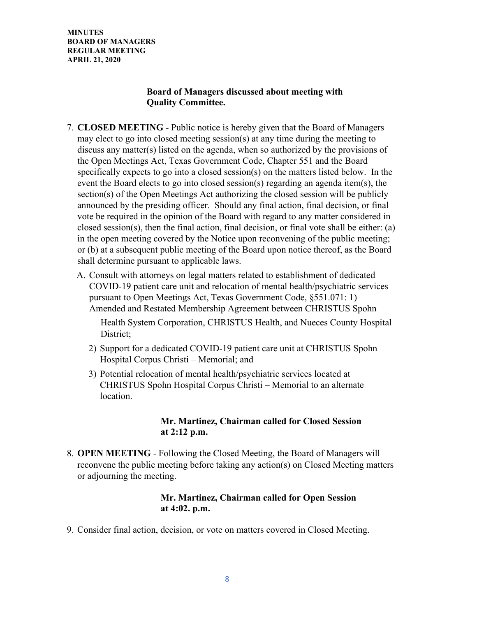## **Board of Managers discussed about meeting with Quality Committee.**

- 7. **CLOSED MEETING** Public notice is hereby given that the Board of Managers may elect to go into closed meeting session(s) at any time during the meeting to discuss any matter(s) listed on the agenda, when so authorized by the provisions of the Open Meetings Act, Texas Government Code, Chapter 551 and the Board specifically expects to go into a closed session(s) on the matters listed below. In the event the Board elects to go into closed session(s) regarding an agenda item(s), the section(s) of the Open Meetings Act authorizing the closed session will be publicly announced by the presiding officer. Should any final action, final decision, or final vote be required in the opinion of the Board with regard to any matter considered in closed session(s), then the final action, final decision, or final vote shall be either: (a) in the open meeting covered by the Notice upon reconvening of the public meeting; or (b) at a subsequent public meeting of the Board upon notice thereof, as the Board shall determine pursuant to applicable laws.
	- A. Consult with attorneys on legal matters related to establishment of dedicated COVID-19 patient care unit and relocation of mental health/psychiatric services pursuant to Open Meetings Act, Texas Government Code, §551.071: 1) Amended and Restated Membership Agreement between CHRISTUS Spohn

Health System Corporation, CHRISTUS Health, and Nueces County Hospital District;

- 2) Support for a dedicated COVID-19 patient care unit at CHRISTUS Spohn Hospital Corpus Christi – Memorial; and
- 3) Potential relocation of mental health/psychiatric services located at CHRISTUS Spohn Hospital Corpus Christi – Memorial to an alternate location.

## **Mr. Martinez, Chairman called for Closed Session at 2:12 p.m.**

8. **OPEN MEETING** - Following the Closed Meeting, the Board of Managers will reconvene the public meeting before taking any action(s) on Closed Meeting matters or adjourning the meeting.

#### **Mr. Martinez, Chairman called for Open Session at 4:02. p.m.**

9. Consider final action, decision, or vote on matters covered in Closed Meeting.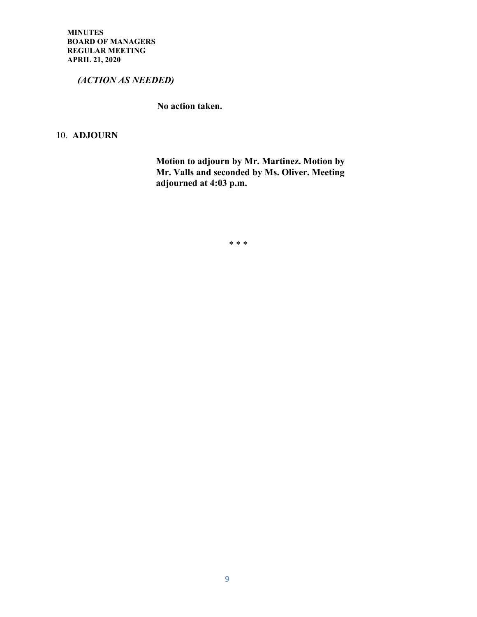*(ACTION AS NEEDED)*

 **No action taken.**

10. **ADJOURN**

 **Motion to adjourn by Mr. Martinez. Motion by Mr. Valls and seconded by Ms. Oliver. Meeting adjourned at 4:03 p.m.**

\* \* \*